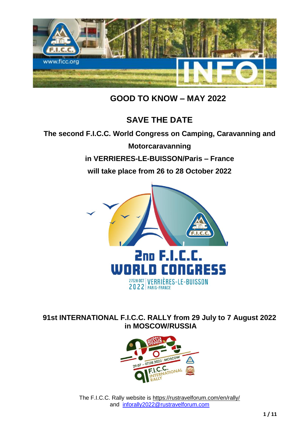

 **GOOD TO KNOW – MAY 2022**

# **SAVE THE DATE**

### **The second F.I.C.C. World Congress on Camping, Caravanning and**

**Motorcaravanning in VERRIERES-LE-BUISSON/Paris – France will take place from 26 to 28 October 2022** 



**91st INTERNATIONAL F.I.C.C. RALLY from 29 July to 7 August 2022 in MOSCOW/RUSSIA**



The F.I.C.C. Rally website is<https://rustravelforum.com/en/rally/> and [inforally2022@rustravelforum.com](mailto:inforally2022@rustravelforum.com)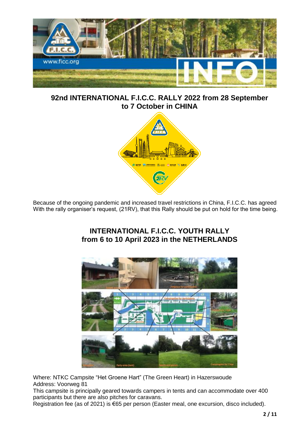

**92nd INTERNATIONAL F.I.C.C. RALLY 2022 from 28 September to 7 October in CHINA**



Because of the ongoing pandemic and increased travel restrictions in China, F.I.C.C. has agreed With the rally organiser's request, (21RV), that this Rally should be put on hold for the time being.

### **INTERNATIONAL F.I.C.C. YOUTH RALLY from 6 to 10 April 2023 in the NETHERLANDS**



Where: NTKC Campsite "Het Groene Hart" (The Green Heart) in Hazerswoude Address: Voorweg 81

This campsite is principally geared towards campers in tents and can accommodate over 400 participants but there are also pitches for caravans.

Registration fee (as of 2021) is €65 per person (Easter meal, one excursion, disco included).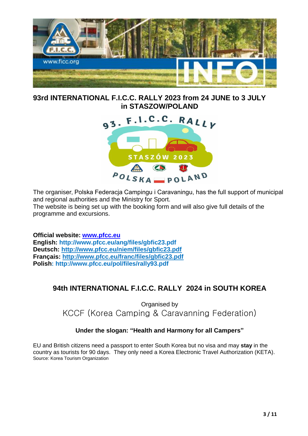

**93rd INTERNATIONAL F.I.C.C. RALLY 2023 from 24 JUNE to 3 JULY in STASZOW/POLAND**



The organiser, Polska Federacja Campingu i Caravaningu, has the full support of municipal and regional authorities and the Ministry for Sport.

The website is being set up with the booking form and will also give full details of the programme and excursions.

**Official website: [www.pfcc.eu](http://www.pfcc.eu/) English: http://www.pfcc.eu/ang/files/gbfic23.pdf Deutsch: <http://www.pfcc.eu/niem/files/gbfic23.pdf> Français:<http://www.pfcc.eu/franc/files/gbfic23.pdf> Polish: http://www.pfcc.eu/pol/files/rally93.pdf**

# **94th INTERNATIONAL F.I.C.C. RALLY 2024 in SOUTH KOREA**

Organised by KCCF (Korea Camping & Caravanning Federation)

### **Under the slogan: "Health and Harmony for all Campers"**

EU and British citizens need a passport to enter South Korea but no visa and may **stay** in the country as tourists for 90 days. They only need a Korea Electronic Travel Authorization (KETA). Source: Korea Tourism Organization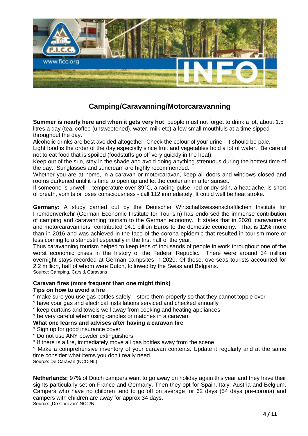

# **Camping/Caravanning/Motorcaravanning**

**Summer is nearly here and when it gets very hot** people must not forget to drink a lot, about 1.5 litres a day (tea, coffee (unsweetened), water, milk etc) a few small mouthfuls at a time sipped throughout the day.

Alcoholic drinks are best avoided altogether. Check the colour of your urine - it should be pale.

Light food is the order of the day especially since fruit and vegetables hold a lot of water. Be careful not to eat food that is spoiled (foodstuffs go off very quickly in the heat).

Keep out of the sun, stay in the shade and avoid doing anything strenuous during the hottest time of the day. Sunglasses and suncream are highly recommended.

Whether you are at home, in a caravan or motorcaravan, keep all doors and windows closed and rooms darkened until it is time to open up and let the cooler air in after sunset.

If someone is unwell – temperature over 39°C, a racing pulse, red or dry skin, a headache, is short of breath, vomits or loses consciousness - call 112 immediately. It could well be heat stroke.

**Germany:** A study carried out by the Deutscher Wirtschaftswissenschaftlichen Instituts für Fremdenverkehr (German Economic Institute for Tourism) has endorsed the immense contribution of camping and caravanning tourism to the German economy. It states that in 2020, caravanners and motorcaravanners contributed 14.1 billion Euros to the domestic economy. That is 12% more than in 2016 and was achieved in the face of the corona epidemic that resulted in tourism more or less coming to a standstill especially in the first half of the year.

Thus caravanning tourism helped to keep tens of thousands of people in work throughout one of the worst economic crises in the history of the Federal Republic. There were around 34 million overnight stays recorded at German campsites in 2020. Of these, overseas tourists accounted for 2.2 million, half of whom were Dutch, followed by the Swiss and Belgians. Source: Camping, Cars & Caravans

#### **Caravan fires (more frequent than one might think)**

#### **Tips on how to avoid a fire**

- ° make sure you use gas bottles safely store them properly so that they cannot topple over
- ° have your gas and electrical installations serviced and checked annually
- ° keep curtains and towels well away from cooking and heating appliances

### ° be very careful when using candles or matches in a caravan

**What one learns and advises after having a caravan fire**

° Sign up for good insurance cover

- ° Do not use ANY powder extinguishers
- ° If there is a fire, immediately move all gas bottles away from the scene

° Make a comprehensive inventory of your caravan contents. Update it regularly and at the same time consider what items you don't really need.

Source: De Caravan (NCC-NL)

**Netherlands:** 97% of Dutch campers want to go away on holiday again this year and they have their sights particularly set on France and Germany. Then they opt for Spain, Italy, Austria and Belgium. Campers who have no children tend to go off on average for 62 days (54 days pre-corona) and campers with children are away for approx 34 days. Source: "De Caravan" NCC/NL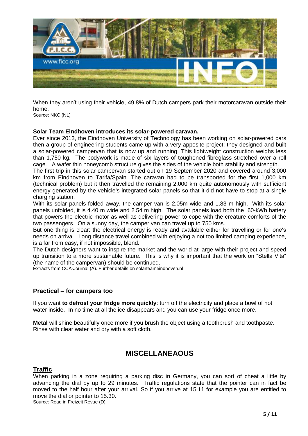

When they aren't using their vehicle, 49.8% of Dutch campers park their motorcaravan outside their home.

Source: NKC (NL)

#### **Solar Team Eindhoven introduces its solar-powered caravan.**

Ever since 2013, the Eindhoven University of Technology has been working on solar-powered cars then a group of engineering students came up with a very apposite project: they designed and built a solar-powered campervan that is now up and running. This lightweight construction weighs less than 1,750 kg. The bodywork is made of six layers of toughened fibreglass stretched over a roll cage. A wafer thin honeycomb structure gives the sides of the vehicle both stability and strength.

The first trip in this solar campervan started out on 19 September 2020 and covered around 3,000 km from Eindhoven to Tarifa/Spain. The caravan had to be transported for the first 1,000 km (technical problem) but it then travelled the remaining 2,000 km quite autonomously with sufficient energy generated by the vehicle's integrated solar panels so that it did not have to stop at a single charging station.

With its solar panels folded away, the camper van is 2.05m wide and 1.83 m high. With its solar panels unfolded, it is 4.40 m wide and 2.54 m high. The solar panels load both the 60-kWh battery that powers the electric motor as well as delivering power to cope with the creature comforts of the two passengers. On a sunny day, the camper van can travel up to 750 kms.

But one thing is clear: the electrical energy is ready and available either for travelling or for one's needs on arrival. Long distance travel combined with enjoying a not too limited camping experience, is a far from easy, if not impossible, blend.

The Dutch designers want to inspire the market and the world at large with their project and speed up transition to a more sustainable future. This is why it is important that the work on "Stella Vita" (the name of the campervan) should be continued.

Extracts from CCA-Journal (A). Further details on solarteameindhoven.nl

### **Practical – for campers too**

If you want **to defrost your fridge more quickly**: turn off the electricity and place a bowl of hot water inside. In no time at all the ice disappears and you can use your fridge once more.

**Metal** will shine beautifully once more if you brush the object using a toothbrush and toothpaste. Rinse with clear water and dry with a soft cloth.

### **MISCELLANEAOUS**

### **Traffic**

When parking in a zone requiring a parking disc in Germany, you can sort of cheat a little by advancing the dial by up to 29 minutes. Traffic regulations state that the pointer can in fact be moved to the half hour after your arrival. So if you arrive at 15.11 for example you are entitled to move the dial or pointer to 15.30.

Source: Read in Freizeit Revue (D)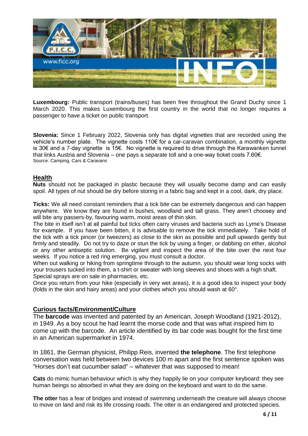

**Luxembourg:** Public transport (trains/buses) has been free throughout the Grand Duchy since 1 March 2020. This makes Luxembourg the first country in the world that no longer requires a passenger to have a ticket on public transport.

**Slovenia:** Since 1 February 2022, Slovenia only has digital vignettes that are recorded using the vehicle's number plate. The vignette costs 110€ for a car-caravan combination, a monthly vignette is 30€ and a 7-day vignette is 15€. No vignette is required to drive through the Karawanken tunnel that links Austria and Slovenia – one pays a separate toll and a one-way ticket costs 7.60€. Source: Camping, Cars & Caravans

### **Health**

**Nuts** should not be packaged in plastic because they will usually become damp and can easily spoil. All types of nut should be dry before storing in a fabric bag and kept in a cool, dark, dry place.

**Ticks:** We all need constant reminders that a tick bite can be extremely dangerous and can happen anywhere. We know they are found in bushes, woodland and tall grass. They aren't choosey and will bite any passers-by, favouring warm, moist areas of thin skin.

The bite in itself isn't at all painful but ticks often carry viruses and bacteria such as Lyme's Disease for example. If you have been bitten, it is advisable to remove the tick immediately. Take hold of the tick with a tick pincer (or tweezers) as close to the skin as possible and pull upwards gently but firmly and steadily. Do not try to daze or stun the tick by using a finger, or dabbing on ether, alcohol or any other antiseptic solution. Be vigilant and inspect the area of the bite over the next four weeks. If you notice a red ring emerging, you must consult a doctor.

When out walking or hiking from springtime through to the autumn, you should wear long socks with your trousers tucked into them, a t-shirt or sweater with long sleeves and shoes with a high shaft. Special sprays are on sale in pharmacies, etc.

Once you return from your hike (especially in very wet areas), it is a good idea to inspect your body (folds in the skin and hairy areas) and your clothes which you should wash at 60°.

#### **Curious facts/Environment/Culture**

The **barcode** was invented and patented by an American, Joseph Woodland (1921-2012), in 1949. As a boy scout he had learnt the morse code and that was what inspired him to come up with the barcode. An article identified by its bar code was bought for the first time in an American supermarket in 1974.

In 1861, the German physicist, Philipp Reis, invented **the telephone**. The first telephone conversation was held between two devices 100 m apart and the first sentence spoken was "Horses don't eat cucumber salad" – whatever that was supposed to mean!

**Cats** do mimic human behaviour which is why they happily lie on your computer keyboard: they see human beings so absorbed in what they are doing on the keyboard and want to do the same.

**The otter** has a fear of bridges and instead of swimming underneath the creature will always choose to move on land and risk its life crossing roads. The otter is an endangered and protected species.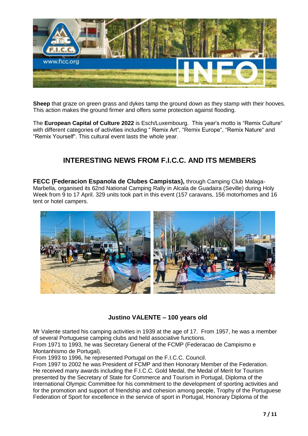

**Sheep** that graze on green grass and dykes tamp the ground down as they stamp with their hooves. This action makes the ground firmer and offers some protection against flooding.

The **European Capital of Culture 2022** is Esch/Luxembourg. This year's motto is "Remix Culture" with different categories of activities including " Remix Art", "Remix Europe", "Remix Nature" and "Remix Yourself". This cultural event lasts the whole year.

# **INTERESTING NEWS FROM F.I.C.C. AND ITS MEMBERS**

**FECC (Federacion Espanola de Clubes Campistas),** through Camping Club Malaga-Marbella, organised its 62nd National Camping Rally in Alcala de Guadaira (Seville) during Holy Week from 9 to 17 April. 329 units took part in this event (157 caravans, 156 motorhomes and 16 tent or hotel campers.



### **Justino VALENTE – 100 years old**

Mr Valente started his camping activities in 1939 at the age of 17. From 1957, he was a member of several Portuguese camping clubs and held associative functions.

From 1971 to 1993, he was Secretary General of the FCMP (Federacao de Campismo e Montanhismo de Portugal).

From 1993 to 1996, he represented Portugal on the F.I.C.C. Council.

From 1997 to 2002 he was President of FCMP and then Honorary Member of the Federation. He received many awards including the F.I.C.C. Gold Medal, the Medal of Merit for Tourism presented by the Secretary of State for Commerce and Tourism in Portugal, Diploma of the International Olympic Committee for his commitment to the development of sporting activities and for the promotion and support of friendship and cohesion among people, Trophy of the Portuguese Federation of Sport for excellence in the service of sport in Portugal, Honorary Diploma of the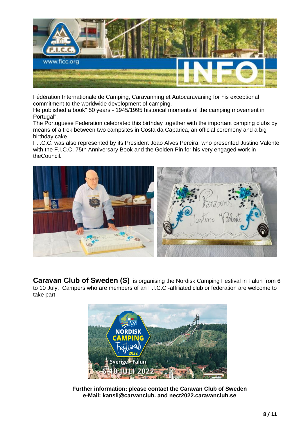

Fédération Internationale de Camping, Caravanning et Autocaravaning for his exceptional commitment to the worldwide development of camping.

He published a book" 50 years - 1945/1995 historical moments of the camping movement in Portugal".

The Portuguese Federation celebrated this birthday together with the important camping clubs by means of a trek between two campsites in Costa da Caparica, an official ceremony and a big birthday cake.

F.I.C.C. was also represented by its President Joao Alves Pereira, who presented Justino Valente with the F.I.C.C. 75th Anniversary Book and the Golden Pin for his very engaged work in theCouncil.



**Caravan Club of Sweden (S)** is organising the Nordisk Camping Festival in Falun from 6 to 10 July. Campers who are members of an F.I.C.C.-affiliated club or federation are welcome to take part.



**Further information: please contact the Caravan Club of Sweden e-Mail: kansli@carvanclub. and nect2022.caravanclub.se**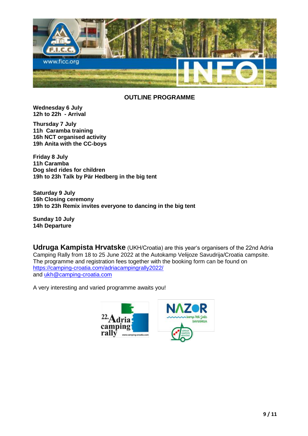

### **OUTLINE PROGRAMME**

**Wednesday 6 July 12h to 22h - Arrival**

**Thursday 7 July 11h Caramba training 16h NCT organised activity 19h Anita with the CC-boys**

**Friday 8 July 11h Caramba Dog sled rides for children 19h to 23h Talk by Pär Hedberg in the big tent**

**Saturday 9 July 16h Closing ceremony 19h to 23h Remix invites everyone to dancing in the big tent**

**Sunday 10 July 14h Departure**

**Udruga Kampista Hrvatske** (UKH/Croatia) are this year's organisers of the 22nd Adria Camping Rally from 18 to 25 June 2022 at the Autokamp Velijoze Savudrija/Croatia campsite. The programme and registration fees together with the booking form can be found on <https://camping-croatia.com/adriacampingrally2022/> and [ukh@camping-croatia.com](mailto:ukh@camping-croatia.com)

A very interesting and varied programme awaits you!

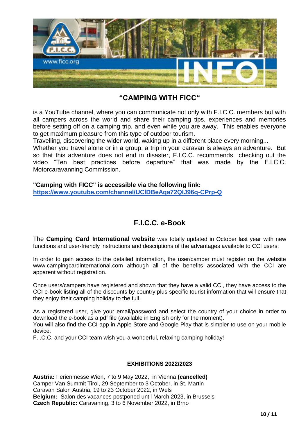

### **"CAMPING WITH FICC"**

is a YouTube channel, where you can communicate not only with F.I.C.C. members but with all campers across the world and share their camping tips, experiences and memories before setting off on a camping trip, and even while you are away. This enables everyone to get maximum pleasure from this type of outdoor tourism.

Travelling, discovering the wider world, waking up in a different place every morning...

Whether you travel alone or in a group, a trip in your caravan is always an adventure. But so that this adventure does not end in disaster, F.I.C.C. recommends checking out the video "Ten best practices before departure" that was made by the F.I.C.C. Motorcaravanning Commission.

**"Camping with FICC" is accessible via the following link: <https://www.youtube.com/channel/UClDBeAqa72QIJ96q-CPrp-Q>**

### **F.I.C.C. e-Book**

The **Camping Card International website** was totally updated in October last year with new functions and user-friendly instructions and descriptions of the advantages available to CCI users.

In order to gain access to the detailed information, the user/camper must register on the website www.campingcardinternational.com although all of the benefits associated with the CCI are apparent without registration.

Once users/campers have registered and shown that they have a valid CCI, they have access to the CCI e-book listing all of the discounts by country plus specific tourist information that will ensure that they enjoy their camping holiday to the full.

As a registered user, give your email/password and select the country of your choice in order to download the e-book as a pdf file (available in English only for the moment).

You will also find the CCI app in Apple Store and Google Play that is simpler to use on your mobile device.

F.I.C.C. and your CCI team wish you a wonderful, relaxing camping holiday!

#### **EXHIBITIONS 2022/2023**

**Austria:** Ferienmesse Wien, 7 to 9 May 2022, in Vienna **(cancelled)** Camper Van Summit Tirol, 29 September to 3 October, in St. Martin Caravan Salon Austria, 19 to 23 October 2022, in Wels **Belgium:** Salon des vacances postponed until March 2023, in Brussels **Czech Republic:** Caravaning, 3 to 6 November 2022, in Brno